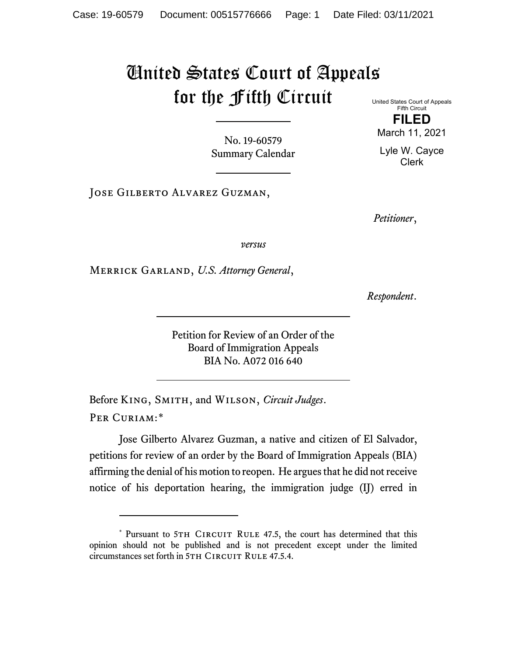## United States Court of Appeals for the Fifth Circuit

United States Court of Appeals Fifth Circuit **FILED** March 11, 2021

Lyle W. Cayce Clerk

No. 19-60579 Summary Calendar

Jose Gilberto Alvarez Guzman,

*Petitioner*,

*versus*

Merrick Garland, *U.S. Attorney General*,

*Respondent*.

Petition for Review of an Order of the Board of Immigration Appeals BIA No. A072 016 640

Before King, Smith, and Wilson, *Circuit Judges*. Per Curiam:[\\*](#page-0-0)

Jose Gilberto Alvarez Guzman, a native and citizen of El Salvador, petitions for review of an order by the Board of Immigration Appeals (BIA) affirming the denial of his motion to reopen. He argues that he did not receive notice of his deportation hearing, the immigration judge (IJ) erred in

<span id="page-0-0"></span><sup>\*</sup> Pursuant to 5TH CIRCUIT RULE 47.5, the court has determined that this opinion should not be published and is not precedent except under the limited circumstances set forth in 5TH CIRCUIT RULE 47.5.4.